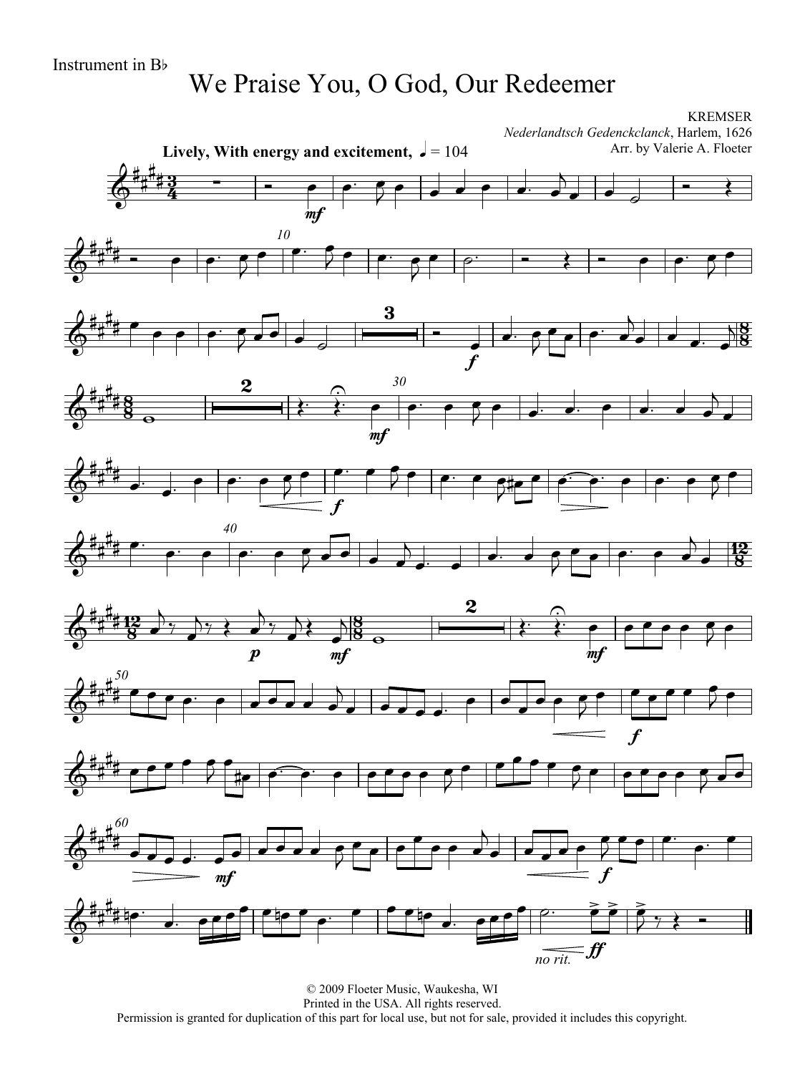## We Praise You, O God, Our Redeemer

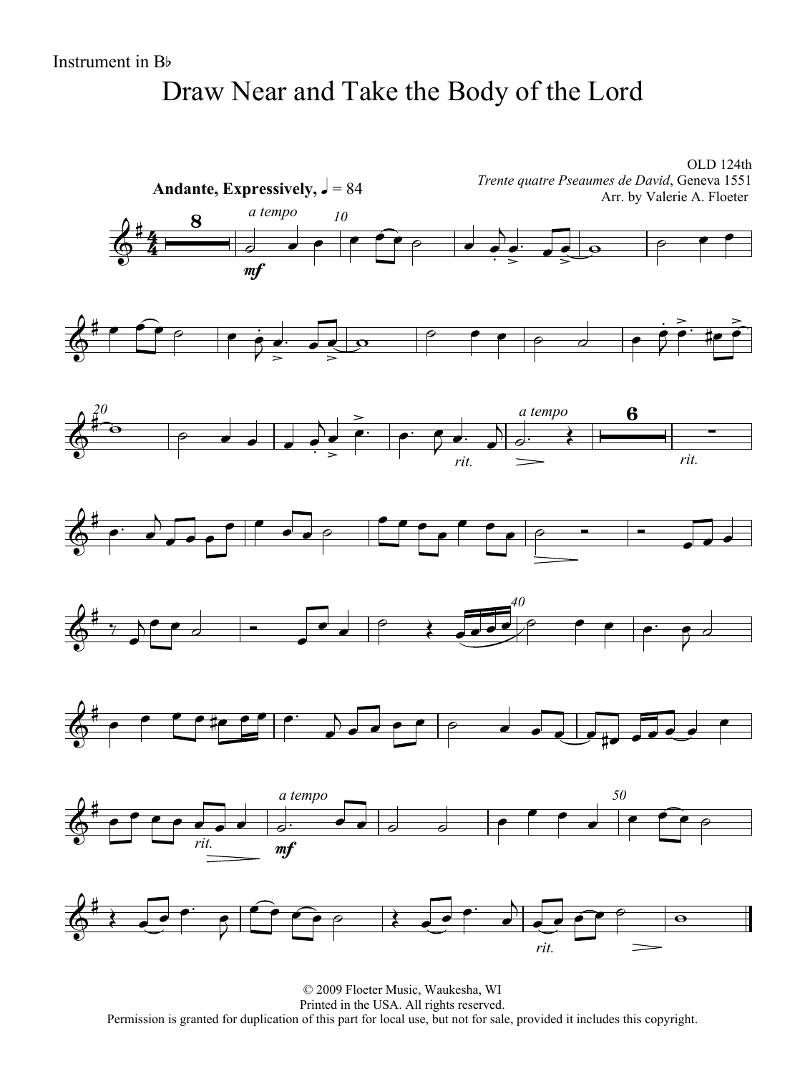# Draw Near and Take the Body of the Lord



© 2009 Floeter Music, Waukesha, WI Printed in the USA. All rights reserved. Permission is granted for duplication of this part for local use, but not for sale, provided it includes this copyright.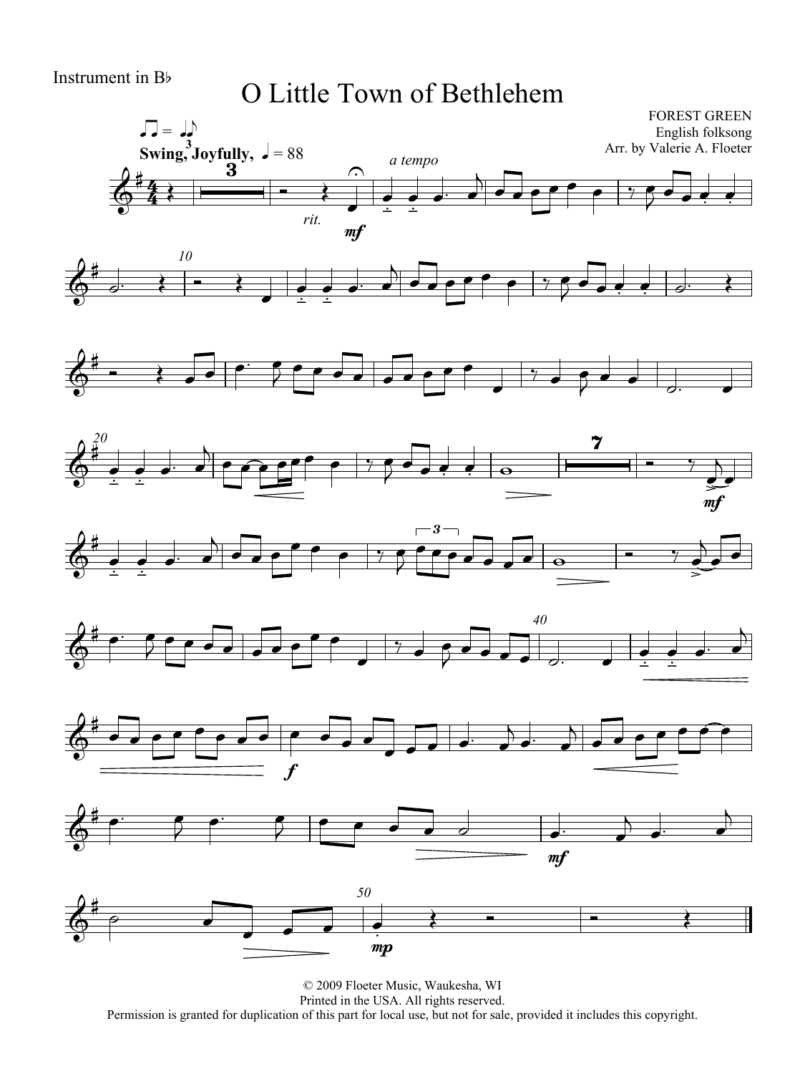#### O Little Town of Bethlehem

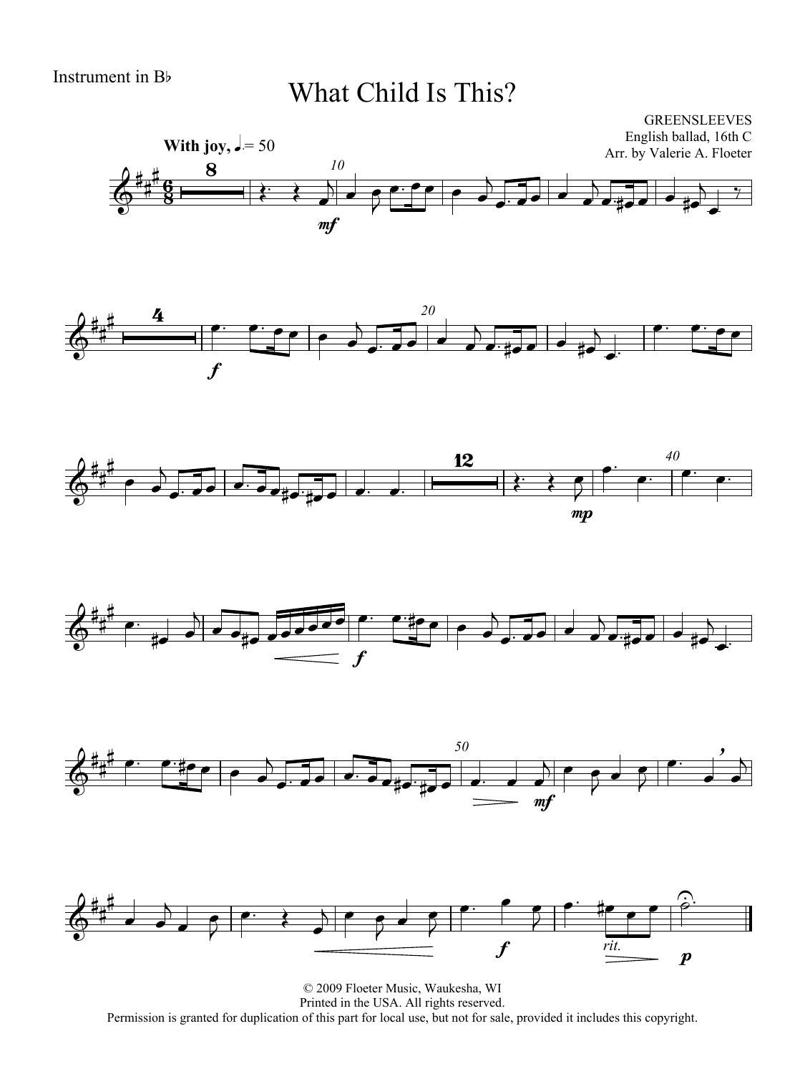#### What Child Is This?













© 2009 Floeter Music, Waukesha, WI Printed in the USA. All rights reserved. Permission is granted for duplication of this part for local use, but not for sale, provided it includes this copyright.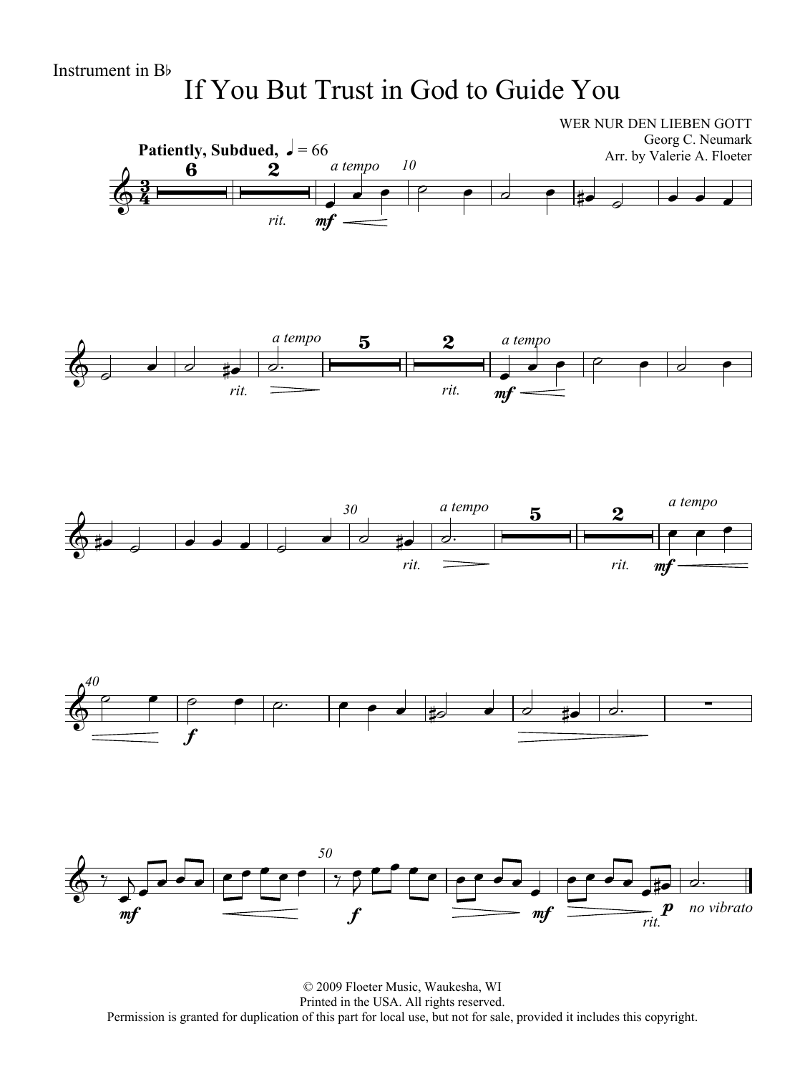# If You But Trust in God to Guide You



© 2009 Floeter Music, Waukesha, WI Printed in the USA. All rights reserved. Permission is granted for duplication of this part for local use, but not for sale, provided it includes this copyright.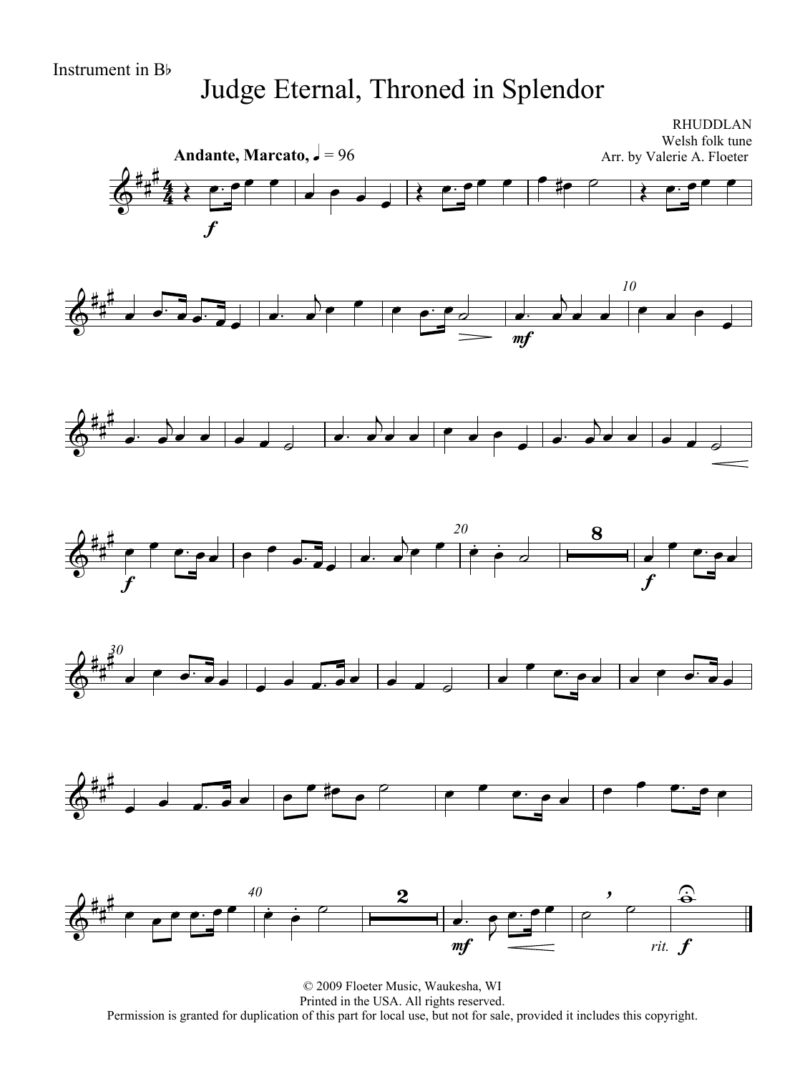#### Judge Eternal, Throned in Splendor



© 2009 Floeter Music, Waukesha, WI Printed in the USA. All rights reserved. Permission is granted for duplication of this part for local use, but not for sale, provided it includes this copyright.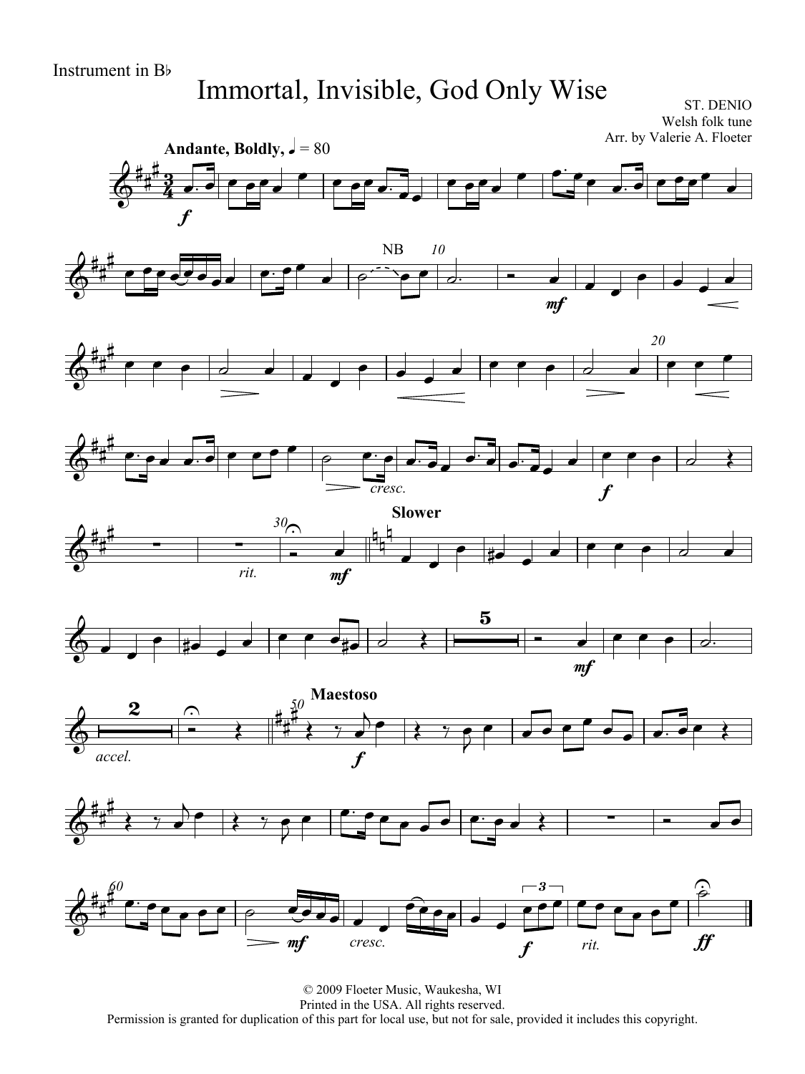# Immortal, Invisible, God Only Wise

ST. DENIO Welsh folk tune Arr. by Valerie A. Floeter



© 2009 Floeter Music, Waukesha, WI Printed in the USA. All rights reserved. Permission is granted for duplication of this part for local use, but not for sale, provided it includes this copyright.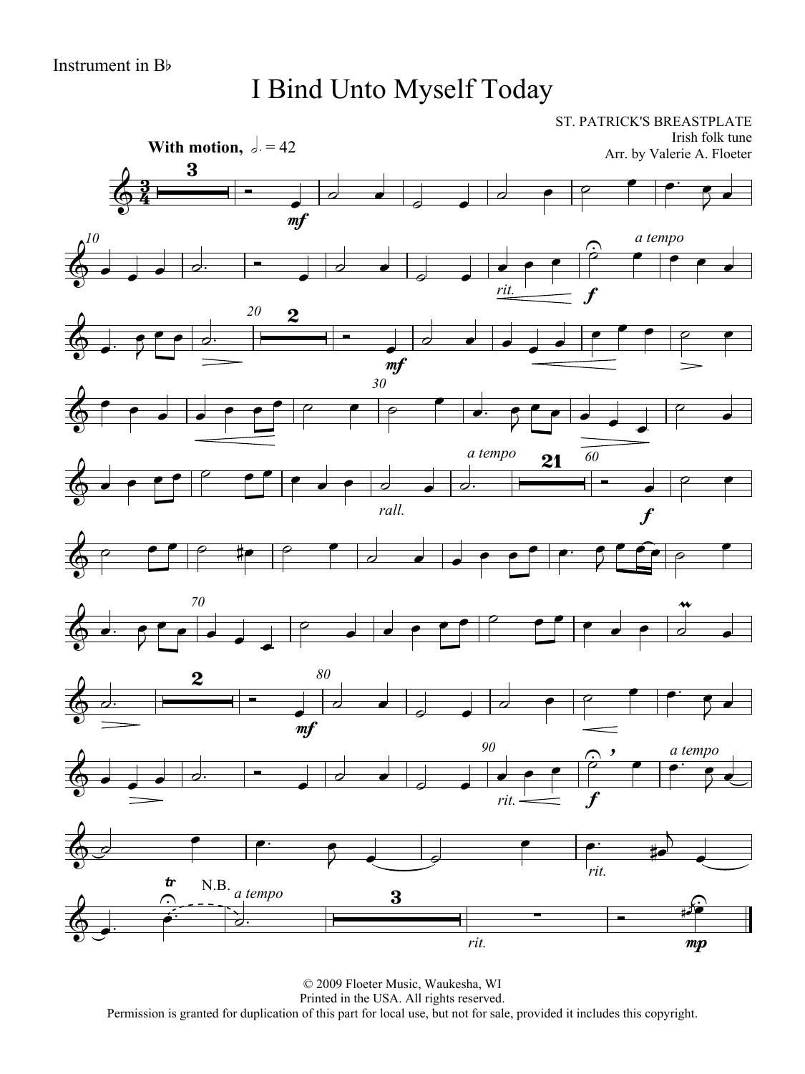I Bind Unto Myself Today

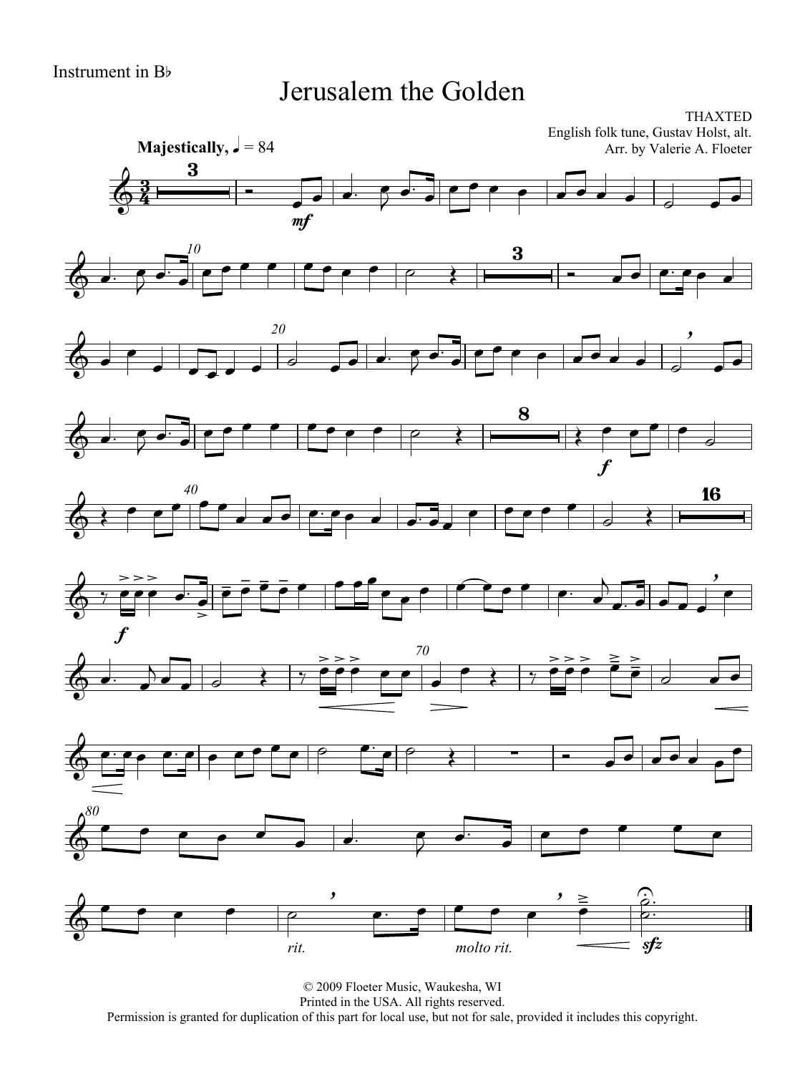#### Jerusalem the Golden